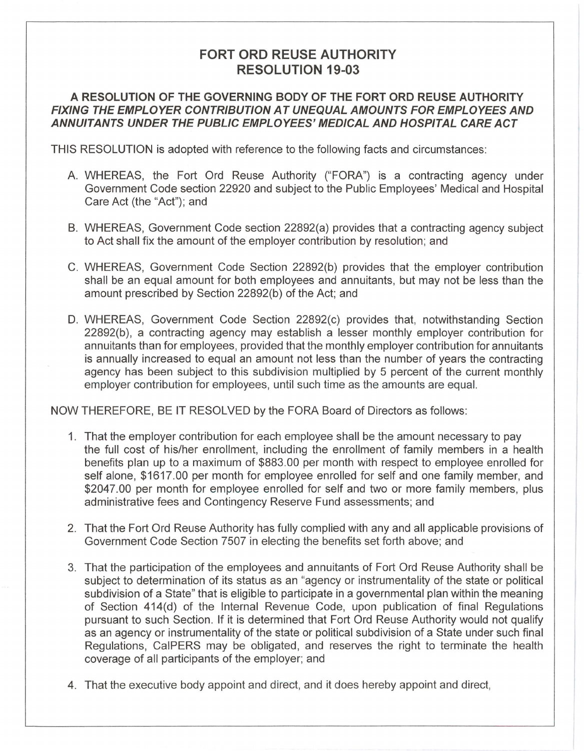## **FORT ORD REUSE AUTHORITY RESOLUTION 19-03**

## **A RESOLUTION OF THE GOVERNING BODY OF THE FORT ORD REUSE AUTHORITY FIXING THE EMPLOYER CONTRIBUTION AT UNEQUAL AMOUNTS FOR EMPLOYEES AND ANNUITANTS UNDER THE PUBLIC EMPLOYEES' MEDICAL AND HOSPITAL CARE ACT**

THIS RESOLUTION is adopted with reference to the following facts and circumstances:

- A. WHEREAS, the Fort Ord Reuse Authority ("FORA") is a contracting agency under Government Code section 22920 and subject to the Public Employees' Medical and Hospital Care Act (the "Act"); and
- B. WHEREAS, Government Code section 22892(a) provides that a contracting agency subject to Act shall fix the amount of the employer contribution by resolution; and
- C. WHEREAS, Government Code Section 22892(b) provides that the employer contribution shall be an equal amount for both employees and annuitants, but may not be less than the amount prescribed by Section 22892(b) of the Act; and
- D. WHEREAS, Government Code Section 22892(c) provides that, notwithstanding Section 22892(b), a contracting agency may establish a lesser monthly employer contribution for annuitants than for employees, provided that the monthly employer contribution for annuitants is annually increased to equal an amount not less than the number of years the contracting agency has been subject to this subdivision multiplied by 5 percent of the current monthly employer contribution for employees, until such time as the amounts are equal.

NOW THEREFORE, BE IT RESOLVED by the FORA Board of Directors as follows:

- 1 . That the employer contribution for each employee shall be the amount necessary to pay the full cost of his/her enrollment, including the enrollment of family members in a health benefits plan up to a maximum of \$883.00 per month with respect to employee enrolled for self alone, \$1617.00 per month for employee enrolled for self and one family member, and \$2047.00 per month for employee enrolled for self and two or more family members, plus administrative fees and Contingency Reserve Fund assessments; and
- 2. That the Fort Ord Reuse Authority has fully complied with any and all applicable provisions of Government Code Section 7507 in electing the benefits set forth above; and
- 3. That the participation of the employees and annuitants of Fort Ord Reuse Authority shall be subject to determination of its status as an "agency or instrumentality of the state or political subdivision of a State" that is eligible to participate in a governmental plan within the meaning of Section 414(d) of the Internal Revenue Code, upon publication of final Regulations pursuant to such Section. If it is determined that Fort Ord Reuse Authority would not qualify as an agency or instrumentality of the state or political subdivision of a State under such final Regulations, CalPERS may be obligated, and reserves the right to terminate the health coverage of all participants of the employer; and
- 4. That the executive body appoint and direct, and it does hereby appoint and direct,